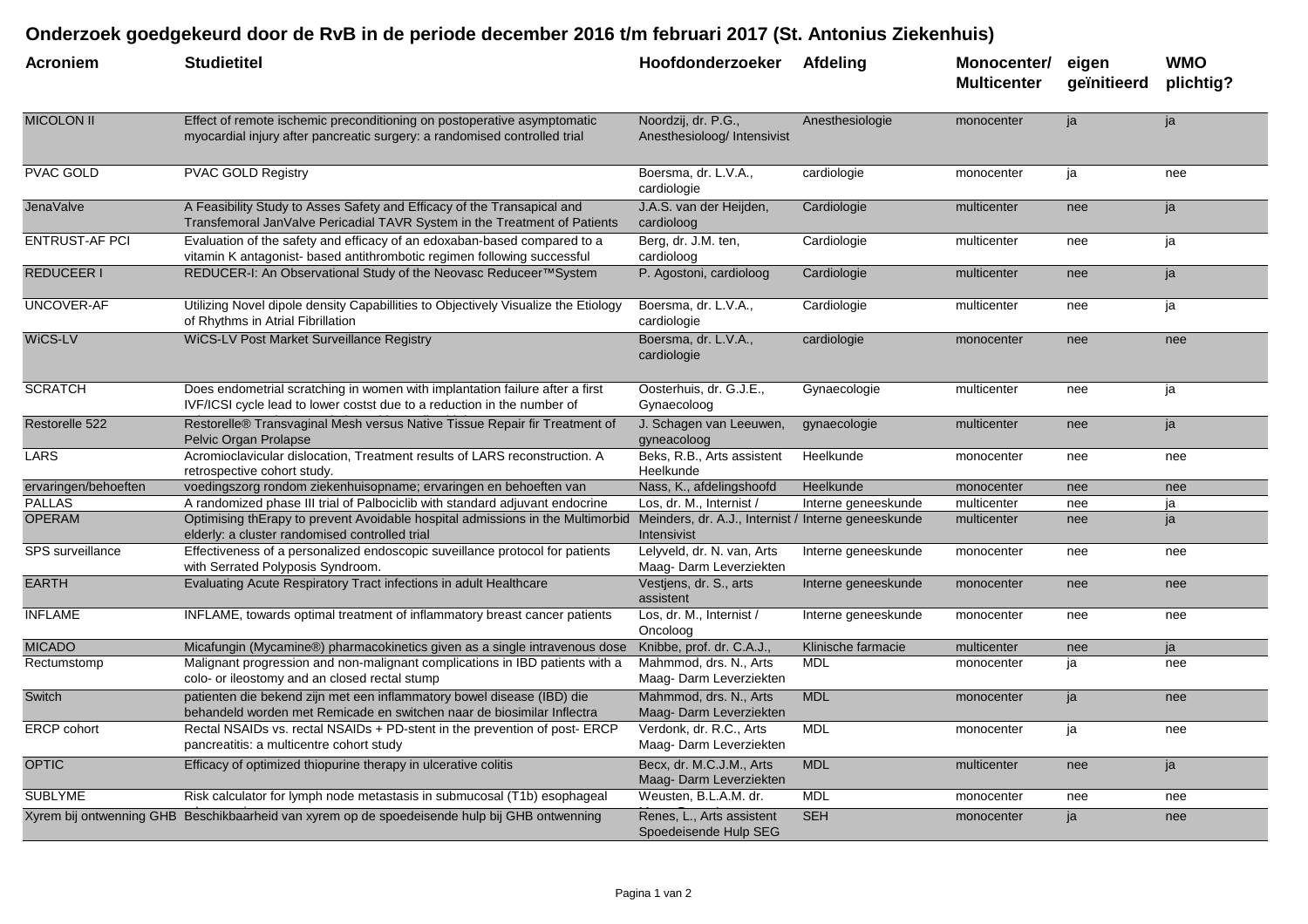## **Onderzoek goedgekeurd door de RvB in de periode december 2016 t/m februari 2017 (St. Antonius Ziekenhuis)**

| Acroniem              | <b>Studietitel</b>                                                                                                                                      | Hoofdonderzoeker                                                   | <b>Afdeling</b>     | Monocenter/<br><b>Multicenter</b> | eigen<br>geïnitieerd | <b>WMO</b><br>plichtig? |
|-----------------------|---------------------------------------------------------------------------------------------------------------------------------------------------------|--------------------------------------------------------------------|---------------------|-----------------------------------|----------------------|-------------------------|
| <b>MICOLON II</b>     | Effect of remote ischemic preconditioning on postoperative asymptomatic<br>myocardial injury after pancreatic surgery: a randomised controlled trial    | Noordzij, dr. P.G.,<br>Anesthesioloog/ Intensivist                 | Anesthesiologie     | monocenter                        | ja                   | ja                      |
| PVAC GOLD             | <b>PVAC GOLD Registry</b>                                                                                                                               | Boersma, dr. L.V.A.,<br>cardiologie                                | cardiologie         | monocenter                        | ja                   | nee                     |
| JenaValve             | A Feasibility Study to Asses Safety and Efficacy of the Transapical and<br>Transfemoral JanValve Pericadial TAVR System in the Treatment of Patients    | J.A.S. van der Heijden,<br>cardioloog                              | Cardiologie         | multicenter                       | nee                  | ja                      |
| <b>ENTRUST-AF PCI</b> | Evaluation of the safety and efficacy of an edoxaban-based compared to a<br>vitamin K antagonist- based antithrombotic regimen following successful     | Berg, dr. J.M. ten,<br>cardioloog                                  | Cardiologie         | multicenter                       | nee                  | ja                      |
| <b>REDUCEER I</b>     | REDUCER-I: An Observational Study of the Neovasc Reduceer™System                                                                                        | P. Agostoni, cardioloog                                            | Cardiologie         | multicenter                       | nee                  | ja                      |
| UNCOVER-AF            | Utilizing Novel dipole density Capabillities to Objectively Visualize the Etiology<br>of Rhythms in Atrial Fibrillation                                 | Boersma, dr. L.V.A.,<br>cardiologie                                | Cardiologie         | multicenter                       | nee                  | ja                      |
| WiCS-LV               | WiCS-LV Post Market Surveillance Registry                                                                                                               | Boersma, dr. L.V.A.,<br>cardiologie                                | cardiologie         | monocenter                        | nee                  | nee                     |
| <b>SCRATCH</b>        | Does endometrial scratching in women with implantation failure after a first<br>IVF/ICSI cycle lead to lower costst due to a reduction in the number of | Oosterhuis, dr. G.J.E.,<br>Gynaecoloog                             | Gynaecologie        | multicenter                       | nee                  | ja                      |
| Restorelle 522        | Restorelle® Transvaginal Mesh versus Native Tissue Repair fir Treatment of<br>Pelvic Organ Prolapse                                                     | J. Schagen van Leeuwen,<br>gyneacoloog                             | gynaecologie        | multicenter                       | nee                  | ja                      |
| LARS                  | Acromioclavicular dislocation, Treatment results of LARS reconstruction. A<br>retrospective cohort study.                                               | Beks, R.B., Arts assistent<br>Heelkunde                            | Heelkunde           | monocenter                        | nee                  | nee                     |
| ervaringen/behoeften  | voedingszorg rondom ziekenhuisopname; ervaringen en behoeften van                                                                                       | Nass, K., afdelingshoofd                                           | Heelkunde           | monocenter                        | nee                  | nee                     |
| <b>PALLAS</b>         | A randomized phase III trial of Palbociclib with standard adjuvant endocrine                                                                            | Los. dr. M., Internist /                                           | Interne geneeskunde | multicenter                       | nee                  | ja                      |
| <b>OPERAM</b>         | Optimising thErapy to prevent Avoidable hospital admissions in the Multimorbid<br>elderly: a cluster randomised controlled trial                        | Meinders, dr. A.J., Internist / Interne geneeskunde<br>Intensivist |                     | multicenter                       | nee                  | ja                      |
| SPS surveillance      | Effectiveness of a personalized endoscopic suveillance protocol for patients<br>with Serrated Polyposis Syndroom.                                       | Lelyveld, dr. N. van, Arts<br>Maag-Darm Leverziekten               | Interne geneeskunde | monocenter                        | nee                  | nee                     |
| <b>EARTH</b>          | Evaluating Acute Respiratory Tract infections in adult Healthcare                                                                                       | Vestjens, dr. S., arts<br>assistent                                | Interne geneeskunde | monocenter                        | nee                  | nee                     |
| <b>INFLAME</b>        | INFLAME, towards optimal treatment of inflammatory breast cancer patients                                                                               | Los, dr. M., Internist /<br>Oncoloog                               | Interne geneeskunde | monocenter                        | nee                  | nee                     |
| <b>MICADO</b>         | Micafungin (Mycamine®) pharmacokinetics given as a single intravenous dose                                                                              | Knibbe, prof. dr. C.A.J.,                                          | Klinische farmacie  | multicenter                       | nee                  | ja                      |
| Rectumstomp           | Malignant progression and non-malignant complications in IBD patients with a<br>colo- or ileostomy and an closed rectal stump                           | Mahmmod, drs. N., Arts<br>Maag-Darm Leverziekten                   | <b>MDL</b>          | monocenter                        | ja                   | nee                     |
| Switch                | patienten die bekend zijn met een inflammatory bowel disease (IBD) die<br>behandeld worden met Remicade en switchen naar de biosimilar Inflectra        | Mahmmod, drs. N., Arts<br>Maag-Darm Leverziekten                   | <b>MDL</b>          | monocenter                        | ja                   | nee                     |
| <b>ERCP</b> cohort    | Rectal NSAIDs vs. rectal NSAIDs + PD-stent in the prevention of post- ERCP<br>pancreatitis: a multicentre cohort study                                  | Verdonk, dr. R.C., Arts<br>Maag-Darm Leverziekten                  | <b>MDL</b>          | monocenter                        | ja                   | nee                     |
| <b>OPTIC</b>          | Efficacy of optimized thiopurine therapy in ulcerative colitis                                                                                          | Becx, dr. M.C.J.M., Arts<br>Maag-Darm Leverziekten                 | <b>MDL</b>          | multicenter                       | nee                  | ja                      |
| <b>SUBLYME</b>        | Risk calculator for lymph node metastasis in submucosal (T1b) esophageal                                                                                | Weusten, B.L.A.M. dr.                                              | <b>MDL</b>          | monocenter                        | nee                  | nee                     |
|                       | Xyrem bij ontwenning GHB Beschikbaarheid van xyrem op de spoedeisende hulp bij GHB ontwenning                                                           | Renes, L., Arts assistent<br>Spoedeisende Hulp SEG                 | <b>SEH</b>          | monocenter                        | ja                   | nee                     |